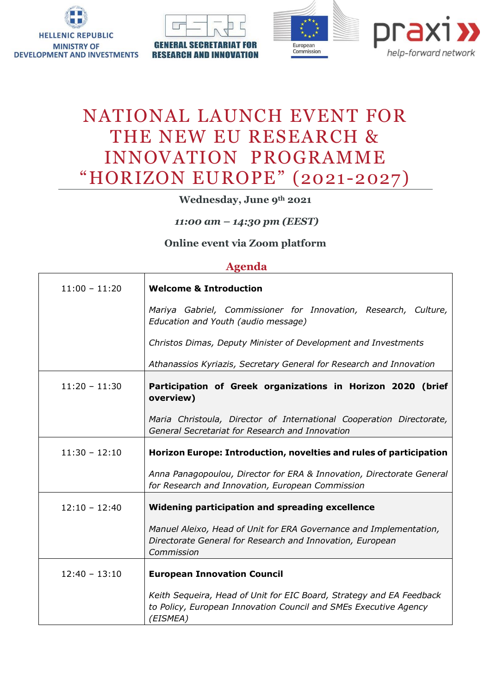

**RESEARCH AND INNOVATION** 





## NATIONAL LAUNCH EVENT FOR THE NEW EU RESEARCH & INNOVATION PROGRAMME "HORIZON EUROPE" (2021-2027)

**Wednesday, June 9th 2021**

*11:00 am – 14:30 pm (EEST)*

## **Online event via Zoom platform**

## **Agenda**

| $11:00 - 11:20$ | <b>Welcome &amp; Introduction</b>                                                                                                                    |
|-----------------|------------------------------------------------------------------------------------------------------------------------------------------------------|
|                 | Mariya Gabriel, Commissioner for Innovation, Research, Culture,<br>Education and Youth (audio message)                                               |
|                 | Christos Dimas, Deputy Minister of Development and Investments                                                                                       |
|                 | Athanassios Kyriazis, Secretary General for Research and Innovation                                                                                  |
| $11:20 - 11:30$ | Participation of Greek organizations in Horizon 2020 (brief<br>overview)                                                                             |
|                 | Maria Christoula, Director of International Cooperation Directorate,<br>General Secretariat for Research and Innovation                              |
| $11:30 - 12:10$ | Horizon Europe: Introduction, novelties and rules of participation                                                                                   |
|                 | Anna Panagopoulou, Director for ERA & Innovation, Directorate General<br>for Research and Innovation, European Commission                            |
| $12:10 - 12:40$ | Widening participation and spreading excellence                                                                                                      |
|                 | Manuel Aleixo, Head of Unit for ERA Governance and Implementation,<br>Directorate General for Research and Innovation, European<br>Commission        |
| $12:40 - 13:10$ | <b>European Innovation Council</b>                                                                                                                   |
|                 | Keith Sequeira, Head of Unit for EIC Board, Strategy and EA Feedback<br>to Policy, European Innovation Council and SMEs Executive Agency<br>(EISMEA) |